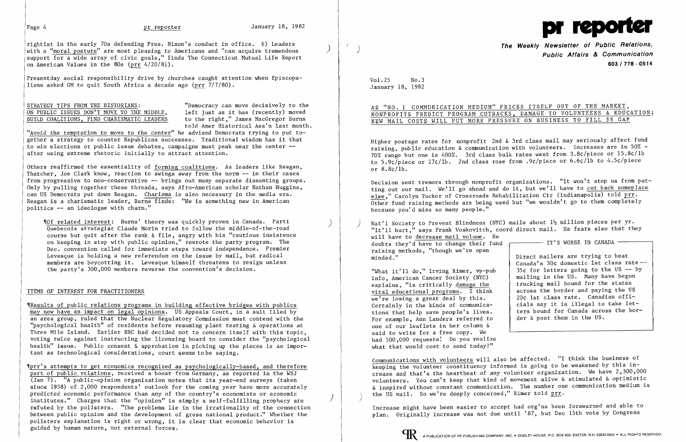Presentday social responsibility drive by churches caught attention when Episcopalians asked GM to quit South Africa a decade ago (prr  $7/7/80$ ).

# STRATEGY TIPS FROM THE HISTORIANS:<br>ON PUBLIC ISSUES DON'T MOVE TO THE MIDDLE, left just as it has (recently) moved ON PUBLIC ISSUES DON'T MOVE TO THE MIDDLE, left just as it has (recently) moved<br>BUILD COALITIONS, FIND CHARISMATIC LEADERS to the right," James MacGregor Burns BUILD COALITIONS, FIND CHARISMATIC LEADERS

rightist in the early 70s defending Pres. Nixon's conduct in office. 6) Leaders with a "moral posture" are most pleasing to Americans and "can acquire tremendous support for a wide array of civic goals," finds The Connecticut Mutual Life Report on American Values in the 80s (prr 4/20/81).

told Amer Historical Ass'n last month.

"Avoid the temptation to move to the center" he advised Democrats trying to put together a strategy to counter Republican successes. Traditional wisdom has it that to win elections or public issue debates, campaigns must peak near the center after using extreme rhetoric initially to attract attention.

Others reaffirmed the essentiality of forming coalitions. As leaders like Reagan, Thatcher, Joe Clark know, reaction to swings away from the norm -- in their cases from progressive to neo-conservative -- brings out many separate dissenting groups. Only by pulling together these threads, says Afro-American scholar Nathan Huggins, can US Democrats put down Reagan. Charisma is also necessary in the media era. Reagan is a charismatic leader, Burns finds: "He is something new in American politics -- an ideologue with charm."

,rOf related interest: Burns' theory was quickly proven in Canada. Parti Quebecois strategist Claude Morin tried to follow the middle-of-the-road course but quit after the rank & file, angry with his "cautious insistence on keeping in step with public opinion," rewrote the party program. The Dec. convention called for immediate steps toward independence. Premier Levesque is holding a new referendum on the issue by mail, but radical members are boycotting it. Levesque himself threatens to resign unless the party's 300,000 members reverse the convention's decision.

AS "NO.1 COMMUNICATION MEDIUM" PRICES ITSELF OUT OF THE MARKET, NONPROFITS PREDICT PROGRAM CUTBACKS, DAMAGE TO VOLUNTEERS & EDUCATION;

# ITEMS OF INTEREST FOR PRACTITIONERS

Nat'l Society to Prevent Blindness (NYC) mails about  $1\frac{1}{2}$  million pieces per yr. "It'll hurt," says Frank Voskovitch, coord direct mail. He fears also that they will have to decrease mail volume. He --------- TT'S WORSE IN CANADA -raising methods, "though we're open Direct mailers are trying to beat doubts they'd have to change their fund minded."

Canada's 30¢ domestic 1st class rate- "What it'll do," Irving Rimer,  $vp$ -pub  $\begin{cases} 35¢$  for letters going to the US -- by<br>info American Cancer Society (NYC) and ing in the US. Many have begun 20¢ 1st class rate. Canadian offi-<br>cials say it is illegal to take letters bound for Canada across the border & post them in the US.

'[Results of public relations programs in building effective bridges with publics may now have an impact on legal opinions. US Appeals Court, in a suit filed by an area group, ruled that the Nuclear Regulatory Commission must contend with the "psychological health" of residents before resuming plant testing & operations at Three Mile Island. Earlier NRC had decided not to concern itself with this topic, voting twice against instructing the licensing board to consider the "psychological health" issue. Public consent & approbation in picking up the pieces is as important as technological considerations, court seems tobe saying.

info, American Cancer Society (NYC) and in the US. Many have begund the US. Many have begund the states explains, "is critically  $\frac{d \text{amage the}}{d \text{at time}}$  trucking mail bound for the states vital educational programs. I think across the border and paying the US vital educational programs. I think<br>we're losing a great deal by this. Certainly in the kinds of communica-<br>tions that help save people's lives. For example, Ann Landers referred to one of our leaflets in her column & said to write for a free copy. We had 500,000 requests! Do you realize what that would cost to send today?"

Communications with volunteers will also be affected. "I think the business of keeping the volunteer constituency informed is going to be weakened by this increase and that's the heartbeat of any volunteer organization. We have 2,300,000 volunteers. You can't keep that kind of movement alive & stimulated & optimistic & inspired without constant communication. The number one communication medium is the US mail. So we're deeply concerned," Rimer told prr.

'Iprr's attempts to get economics recognized as psychologically-based, and therefore part of public relations, received a boost from Germany, as reported in the WSJ (Jan 7). "A public-opinion organization notes that its year-end surveys (taken since 1958) of 2,000 respondents' outlook for the coming year have more accurately predicted economic performance than any of the country's economists or economic institutes." Charges that the "opinion" is simply a self-fulfilling prophecy are refuted by the pollsters. "The problems lie in the irrationality of the connection between public opinion and the development of gross national product." Whether the pollsters explanation is right or wrong, it is clear that economic behavior is guided by human nature, not external forces.

)

.<br>ر  $\big)$ 

)



**The Weekly Newsletter of Public Relations,** ) **Public Affairs & Communication 603 I 778 - 0514** 

Vol. 25 No.3 January 18, 1982

# NEW MAIL COSTS WILL PUT MORE PRESSURE ON BUSINESS TO FILL \$\$ GAP

Higher postage rates for nonprofit 2nd & 3rd class mail may seriously affect fund raising, public education & communication with volunteers. Increases are in 50% 70% range but one is 400%. 3rd class bulk rates went from 3.8¢/piece or l5.8¢/lb to 5.9¢/piece or 27¢/lb. 2nd class rose from .9¢/piece or 6.6¢/lb to 4.5¢/piece or 8.8¢/lb.

Decision sent tremors through nonprofit organizations. "It won't stop us from putting out our mail. We'll go ahead and do it, but we'll have to cut back someplace else," Carolyn Tucker of Crossroads Rehabilitation Ctr (Indianapolis) told prr. Other fund raising methods are being used but "we wouldn't go to them completely because you'd miss so many people."

)

Increase might have been easier to accept had org'ns been forewarned and able to plan. Originally increase was not due until '87, but Dec 15th vote by Congress



I